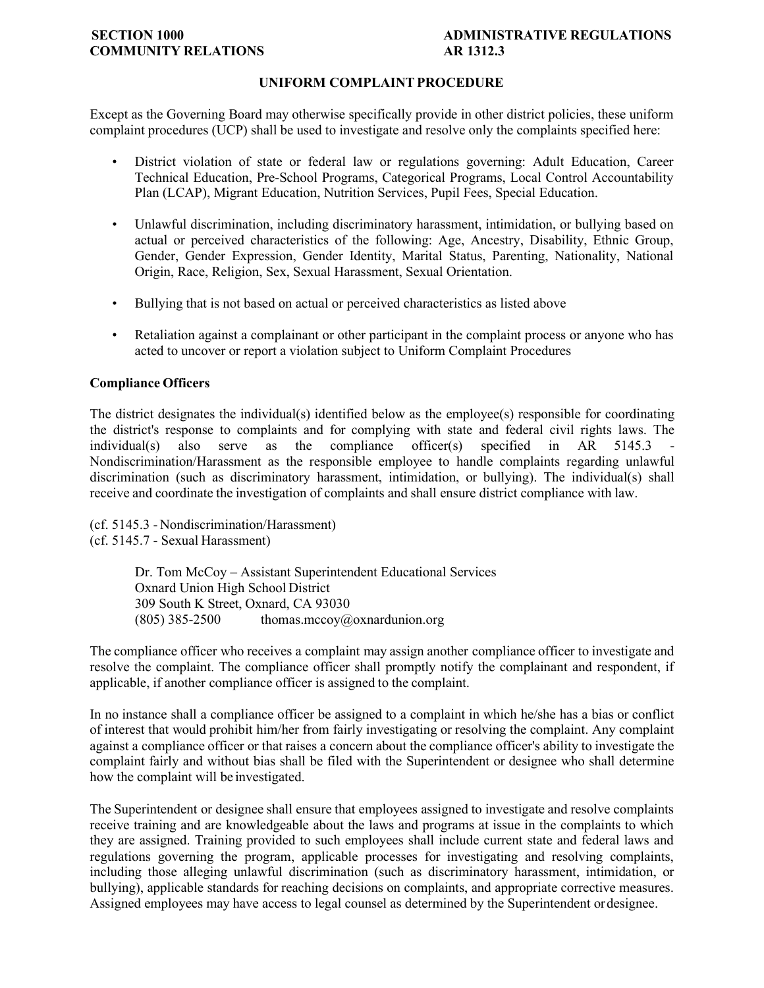# **COMMUNITY RELATIONS AR 1312.3**

# **SECTION 1000 ADMINISTRATIVE REGULATIONS**

# **UNIFORM COMPLAINT PROCEDURE**

Except as the Governing Board may otherwise specifically provide in other district policies, these uniform complaint procedures (UCP) shall be used to investigate and resolve only the complaints specified here:

- District violation of state or federal law or regulations governing: Adult Education, Career Technical Education, Pre-School Programs, Categorical Programs, Local Control Accountability Plan (LCAP), Migrant Education, Nutrition Services, Pupil Fees, Special Education.
- Unlawful discrimination, including discriminatory harassment, intimidation, or bullying based on actual or perceived characteristics of the following: Age, Ancestry, Disability, Ethnic Group, Gender, Gender Expression, Gender Identity, Marital Status, Parenting, Nationality, National Origin, Race, Religion, Sex, Sexual Harassment, Sexual Orientation.
- Bullying that is not based on actual or perceived characteristics as listed above
- Retaliation against a complainant or other participant in the complaint process or anyone who has acted to uncover or report a violation subject to Uniform Complaint Procedures

## **Compliance Officers**

The district designates the individual(s) identified below as the employee(s) responsible for coordinating the district's response to complaints and for complying with state and federal civil rights laws. The  $individual(s)$  also serve as the compliance officer(s) specified in AR 5145.3 Nondiscrimination/Harassment as the responsible employee to handle complaints regarding unlawful discrimination (such as discriminatory harassment, intimidation, or bullying). The individual(s) shall receive and coordinate the investigation of complaints and shall ensure district compliance with law.

(cf[. 5145.3](http://gamutonline.net/displayPolicy/1056960/1) - Nondiscrimination/Harassment) (cf[. 5145.7](http://gamutonline.net/displayPolicy/1056962/1) - Sexual Harassment)

> Dr. Tom McCoy – Assistant Superintendent Educational Services Oxnard Union High School District 309 South K Street, Oxnard, CA 93030  $(805)$  385-2500 thomas.mccoy $@$ oxnardunion.org

The compliance officer who receives a complaint may assign another compliance officer to investigate and resolve the complaint. The compliance officer shall promptly notify the complainant and respondent, if applicable, if another compliance officer is assigned to the complaint.

In no instance shall a compliance officer be assigned to a complaint in which he/she has a bias or conflict of interest that would prohibit him/her from fairly investigating or resolving the complaint. Any complaint against a compliance officer or that raises a concern about the compliance officer's ability to investigate the complaint fairly and without bias shall be filed with the Superintendent or designee who shall determine how the complaint will be investigated.

The Superintendent or designee shall ensure that employees assigned to investigate and resolve complaints receive training and are knowledgeable about the laws and programs at issue in the complaints to which they are assigned. Training provided to such employees shall include current state and federal laws and regulations governing the program, applicable processes for investigating and resolving complaints, including those alleging unlawful discrimination (such as discriminatory harassment, intimidation, or bullying), applicable standards for reaching decisions on complaints, and appropriate corrective measures. Assigned employees may have access to legal counsel as determined by the Superintendent ordesignee.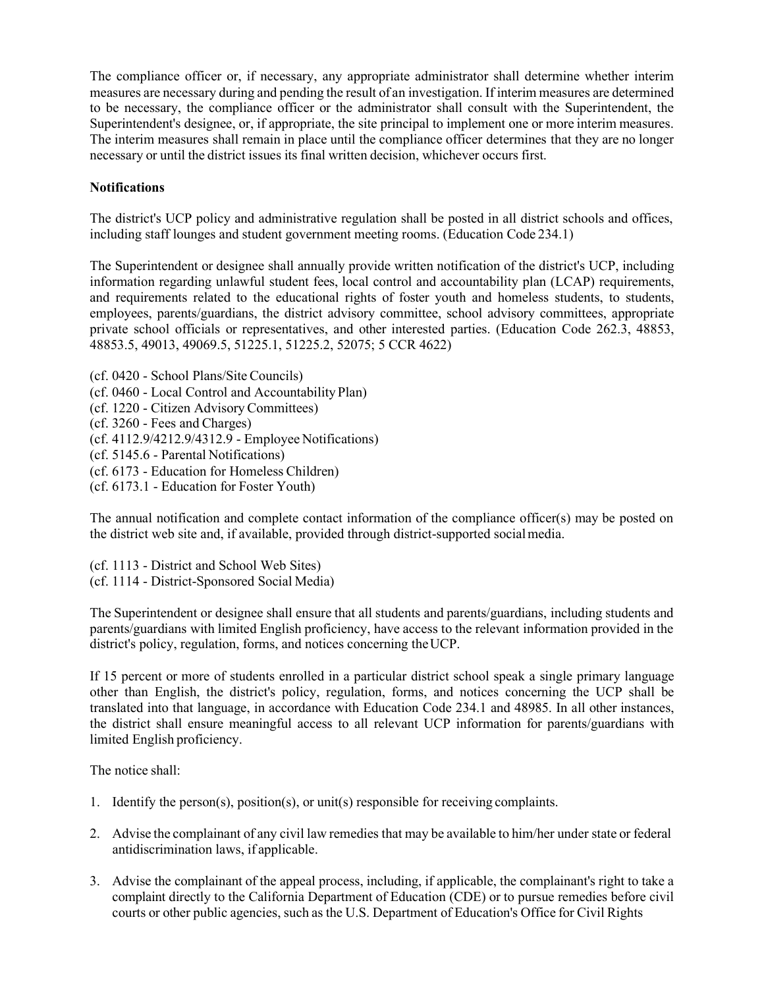The compliance officer or, if necessary, any appropriate administrator shall determine whether interim measures are necessary during and pending the result of an investigation. If interim measures are determined to be necessary, the compliance officer or the administrator shall consult with the Superintendent, the Superintendent's designee, or, if appropriate, the site principal to implement one or more interim measures. The interim measures shall remain in place until the compliance officer determines that they are no longer necessary or until the district issues its final written decision, whichever occurs first.

# **Notifications**

The district's UCP policy and administrative regulation shall be posted in all district schools and offices, including staff lounges and student government meeting rooms. (Education Code [234.1\)](http://gamutonline.net/displayPolicy/460631/1)

The Superintendent or designee shall annually provide written notification of the district's UCP, including information regarding unlawful student fees, local control and accountability plan (LCAP) requirements, and requirements related to the educational rights of foster youth and homeless students, to students, employees, parents/guardians, the district advisory committee, school advisory committees, appropriate private school officials or representatives, and other interested parties. (Education Code [262.3,](http://gamutonline.net/displayPolicy/138777/1) [48853,](http://gamutonline.net/displayPolicy/315648/1)  $\overline{48853.5}$ , [49013,](http://gamutonline.net/displayPolicy/781186/1) [49069.5,](http://gamutonline.net/displayPolicy/137891/1) [51225.1,](http://gamutonline.net/displayPolicy/1007257/1) [51225.2,](http://gamutonline.net/displayPolicy/1007258/1) [52075;](http://gamutonline.net/displayPolicy/899535/1) 5 CCR [4622\)](http://gamutonline.net/displayPolicy/187025/1)

(cf[. 0420](http://gamutonline.net/displayPolicy/1002197/1) - School Plans/Site Councils) (cf[. 0460](http://gamutonline.net/displayPolicy/857369/1) - Local Control and Accountability Plan) (cf[. 1220](http://gamutonline.net/displayPolicy/170624/1) - Citizen Advisory Committees) (cf[. 3260](http://gamutonline.net/displayPolicy/909474/1) - Fees and Charges) (cf[. 4112.9](http://gamutonline.net/displayPolicy/929964/1)[/4212.9](http://gamutonline.net/displayPolicy/929965/1)[/4312.9](http://gamutonline.net/displayPolicy/929966/1) - Employee Notifications) (cf[. 5145.6](http://gamutonline.net/displayPolicy/222839/1) - Parental Notifications) (cf[. 6173](http://gamutonline.net/displayPolicy/274293/1) - Education for Homeless Children) (cf[. 6173.1](http://gamutonline.net/displayPolicy/324915/1) - Education for Foster Youth)

The annual notification and complete contact information of the compliance officer(s) may be posted on the district web site and, if available, provided through district-supported socialmedia.

(cf[. 1113](http://gamutonline.net/displayPolicy/211084/1) - District and School Web Sites) (cf[. 1114](http://gamutonline.net/displayPolicy/697130/1) - District-Sponsored Social Media)

The Superintendent or designee shall ensure that all students and parents/guardians, including students and parents/guardians with limited English proficiency, have access to the relevant information provided in the district's policy, regulation, forms, and notices concerning the UCP.

If 15 percent or more of students enrolled in a particular district school speak a single primary language other than English, the district's policy, regulation, forms, and notices concerning the UCP shall be translated into that language, in accordance with Education Code [234.1](http://gamutonline.net/displayPolicy/460631/1) and [48985.](http://gamutonline.net/displayPolicy/132268/1) In all other instances, the district shall ensure meaningful access to all relevant UCP information for parents/guardians with limited English proficiency.

The notice shall:

- 1. Identify the person(s), position(s), or unit(s) responsible for receiving complaints.
- 2. Advise the complainant of any civil law remedies that may be available to him/her under state or federal antidiscrimination laws, if applicable.
- 3. Advise the complainant of the appeal process, including, if applicable, the complainant's right to take a complaint directly to the California Department of Education (CDE) or to pursue remedies before civil courts or other public agencies, such as the U.S. Department of Education's Office for Civil Rights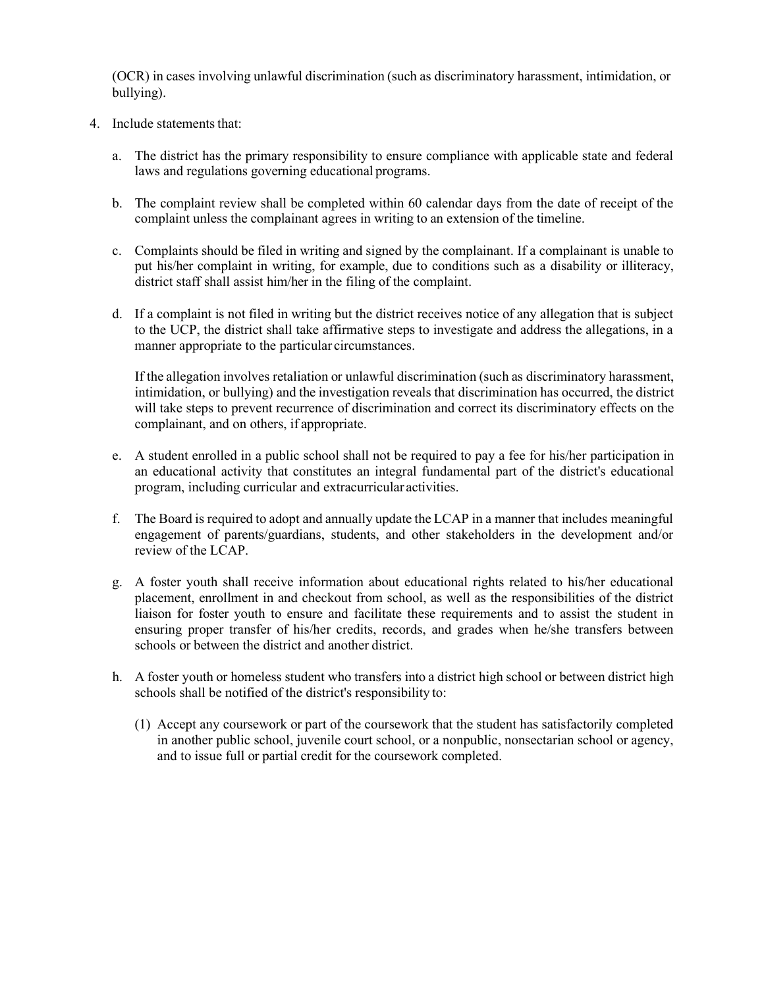(OCR) in cases involving unlawful discrimination (such as discriminatory harassment, intimidation, or bullying).

- 4. Include statements that:
	- a. The district has the primary responsibility to ensure compliance with applicable state and federal laws and regulations governing educational programs.
	- b. The complaint review shall be completed within 60 calendar days from the date of receipt of the complaint unless the complainant agrees in writing to an extension of the timeline.
	- c. Complaints should be filed in writing and signed by the complainant. If a complainant is unable to put his/her complaint in writing, for example, due to conditions such as a disability or illiteracy, district staff shall assist him/her in the filing of the complaint.
	- d. If a complaint is not filed in writing but the district receives notice of any allegation that is subject to the UCP, the district shall take affirmative steps to investigate and address the allegations, in a manner appropriate to the particular circumstances.

If the allegation involves retaliation or unlawful discrimination (such as discriminatory harassment, intimidation, or bullying) and the investigation reveals that discrimination has occurred, the district will take steps to prevent recurrence of discrimination and correct its discriminatory effects on the complainant, and on others, if appropriate.

- e. A student enrolled in a public school shall not be required to pay a fee for his/her participation in an educational activity that constitutes an integral fundamental part of the district's educational program, including curricular and extracurricular activities.
- f. The Board is required to adopt and annually update the LCAP in a manner that includes meaningful engagement of parents/guardians, students, and other stakeholders in the development and/or review of the LCAP.
- g. A foster youth shall receive information about educational rights related to his/her educational placement, enrollment in and checkout from school, as well as the responsibilities of the district liaison for foster youth to ensure and facilitate these requirements and to assist the student in ensuring proper transfer of his/her credits, records, and grades when he/she transfers between schools or between the district and another district.
- h. A foster youth or homeless student who transfers into a district high school or between district high schools shall be notified of the district's responsibility to:
	- (1) Accept any coursework or part of the coursework that the student has satisfactorily completed in another public school, juvenile court school, or a nonpublic, nonsectarian school or agency, and to issue full or partial credit for the coursework completed.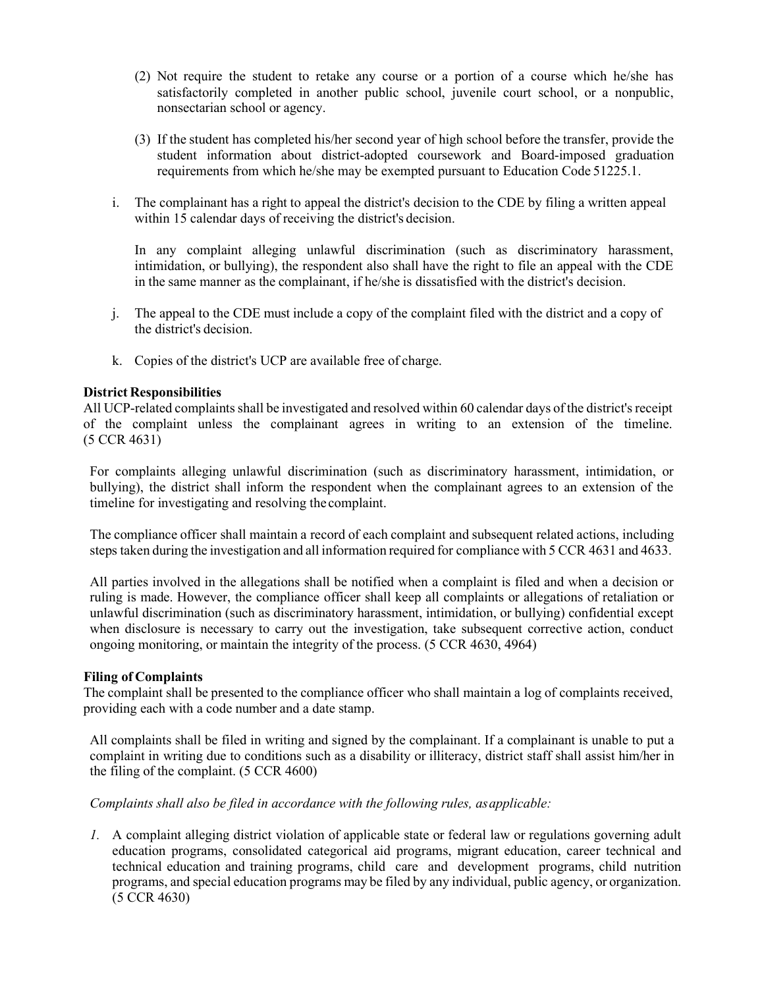- (2) Not require the student to retake any course or a portion of a course which he/she has satisfactorily completed in another public school, juvenile court school, or a nonpublic, nonsectarian school or agency.
- (3) If the student has completed his/her second year of high school before the transfer, provide the student information about district-adopted coursework and Board-imposed graduation requirements from which he/she may be exempted pursuant to Education Code [51225.1.](http://gamutonline.net/displayPolicy/1007257/1)
- i. The complainant has a right to appeal the district's decision to the CDE by filing a written appeal within 15 calendar days of receiving the district's decision.

In any complaint alleging unlawful discrimination (such as discriminatory harassment, intimidation, or bullying), the respondent also shall have the right to file an appeal with the CDE in the same manner as the complainant, if he/she is dissatisfied with the district's decision.

- j. The appeal to the CDE must include a copy of the complaint filed with the district and a copy of the district's decision.
- k. Copies of the district's UCP are available free of charge.

#### **District Responsibilities**

All UCP-related complaints shall be investigated and resolved within 60 calendar days of the district's receipt of the complaint unless the complainant agrees in writing to an extension of the timeline. (5 CCR [4631\)](http://gamutonline.net/displayPolicy/187027/1)

For complaints alleging unlawful discrimination (such as discriminatory harassment, intimidation, or bullying), the district shall inform the respondent when the complainant agrees to an extension of the timeline for investigating and resolving the complaint.

The compliance officer shall maintain a record of each complaint and subsequent related actions, including steps taken during the investigation and all information required for compliance with 5 CCR [4631](http://gamutonline.net/displayPolicy/187027/1) and [4633.](http://gamutonline.net/displayPolicy/390294/1)

All parties involved in the allegations shall be notified when a complaint is filed and when a decision or ruling is made. However, the compliance officer shall keep all complaints or allegations of retaliation or unlawful discrimination (such as discriminatory harassment, intimidation, or bullying) confidential except when disclosure is necessary to carry out the investigation, take subsequent corrective action, conduct ongoing monitoring, or maintain the integrity of the process. (5 CCR [4630,](http://gamutonline.net/displayPolicy/187026/1) [4964\)](http://gamutonline.net/displayPolicy/244921/1)

#### **Filing of Complaints**

The complaint shall be presented to the compliance officer who shall maintain a log of complaints received, providing each with a code number and a date stamp.

All complaints shall be filed in writing and signed by the complainant. If a complainant is unable to put a complaint in writing due to conditions such as a disability or illiteracy, district staff shall assist him/her in the filing of the complaint. (5 CCR [4600\)](http://gamutonline.net/displayPolicy/187020/1)

# *Complaints shall also be filed in accordance with the following rules, asapplicable:*

*1.* A complaint alleging district violation of applicable state or federal law or regulations governing adult education programs, consolidated categorical aid programs, migrant education, career technical and technical education and training programs, child care and development programs, child nutrition programs, and special education programs may be filed by any individual, public agency, or organization. (5 CCR [4630\)](http://gamutonline.net/displayPolicy/187026/1)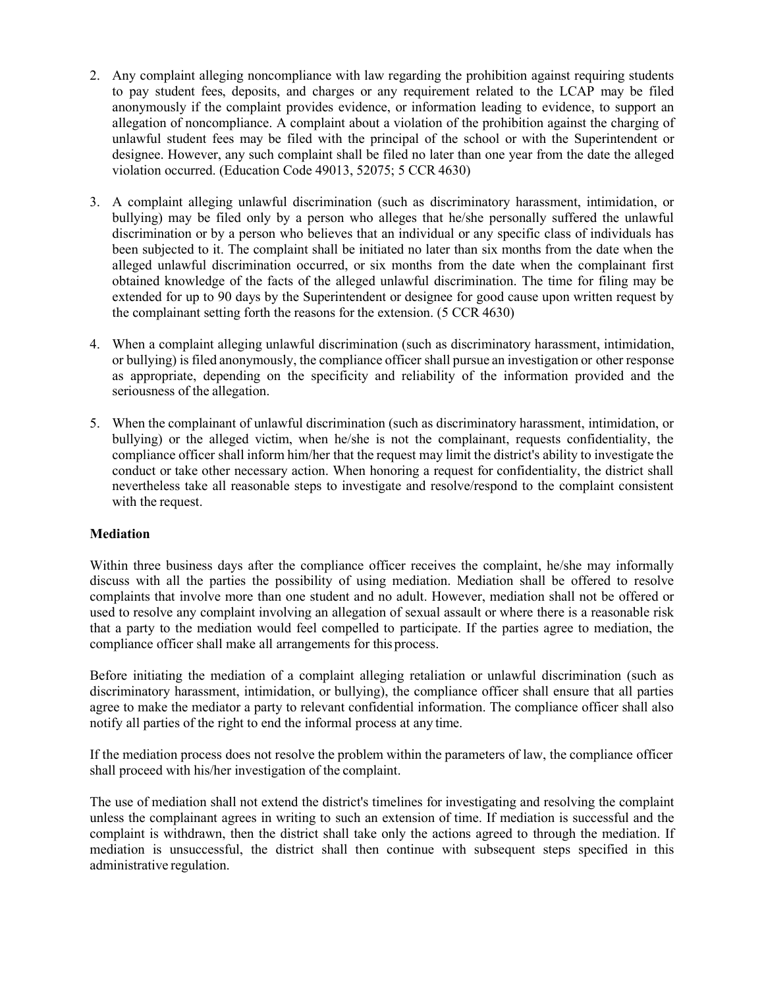- 2. Any complaint alleging noncompliance with law regarding the prohibition against requiring students to pay student fees, deposits, and charges or any requirement related to the LCAP may be filed anonymously if the complaint provides evidence, or information leading to evidence, to support an allegation of noncompliance. A complaint about a violation of the prohibition against the charging of unlawful student fees may be filed with the principal of the school or with the Superintendent or designee. However, any such complaint shall be filed no later than one year from the date the alleged violation occurred. (Education Code [49013,](http://gamutonline.net/displayPolicy/781186/1) [52075;](http://gamutonline.net/displayPolicy/899535/1) 5 CCR [4630\)](http://gamutonline.net/displayPolicy/187026/1)
- 3. A complaint alleging unlawful discrimination (such as discriminatory harassment, intimidation, or bullying) may be filed only by a person who alleges that he/she personally suffered the unlawful discrimination or by a person who believes that an individual or any specific class of individuals has been subjected to it. The complaint shall be initiated no later than six months from the date when the alleged unlawful discrimination occurred, or six months from the date when the complainant first obtained knowledge of the facts of the alleged unlawful discrimination. The time for filing may be extended for up to 90 days by the Superintendent or designee for good cause upon written request by the complainant setting forth the reasons for the extension. (5 CCR [4630\)](http://gamutonline.net/displayPolicy/187026/1)
- 4. When a complaint alleging unlawful discrimination (such as discriminatory harassment, intimidation, or bullying) is filed anonymously, the compliance officer shall pursue an investigation or other response as appropriate, depending on the specificity and reliability of the information provided and the seriousness of the allegation.
- 5. When the complainant of unlawful discrimination (such as discriminatory harassment, intimidation, or bullying) or the alleged victim, when he/she is not the complainant, requests confidentiality, the compliance officer shall inform him/her that the request may limit the district's ability to investigate the conduct or take other necessary action. When honoring a request for confidentiality, the district shall nevertheless take all reasonable steps to investigate and resolve/respond to the complaint consistent with the request.

## **Mediation**

Within three business days after the compliance officer receives the complaint, he/she may informally discuss with all the parties the possibility of using mediation. Mediation shall be offered to resolve complaints that involve more than one student and no adult. However, mediation shall not be offered or used to resolve any complaint involving an allegation of sexual assault or where there is a reasonable risk that a party to the mediation would feel compelled to participate. If the parties agree to mediation, the compliance officer shall make all arrangements for this process.

Before initiating the mediation of a complaint alleging retaliation or unlawful discrimination (such as discriminatory harassment, intimidation, or bullying), the compliance officer shall ensure that all parties agree to make the mediator a party to relevant confidential information. The compliance officer shall also notify all parties of the right to end the informal process at any time.

If the mediation process does not resolve the problem within the parameters of law, the compliance officer shall proceed with his/her investigation of the complaint.

The use of mediation shall not extend the district's timelines for investigating and resolving the complaint unless the complainant agrees in writing to such an extension of time. If mediation is successful and the complaint is withdrawn, then the district shall take only the actions agreed to through the mediation. If mediation is unsuccessful, the district shall then continue with subsequent steps specified in this administrative regulation.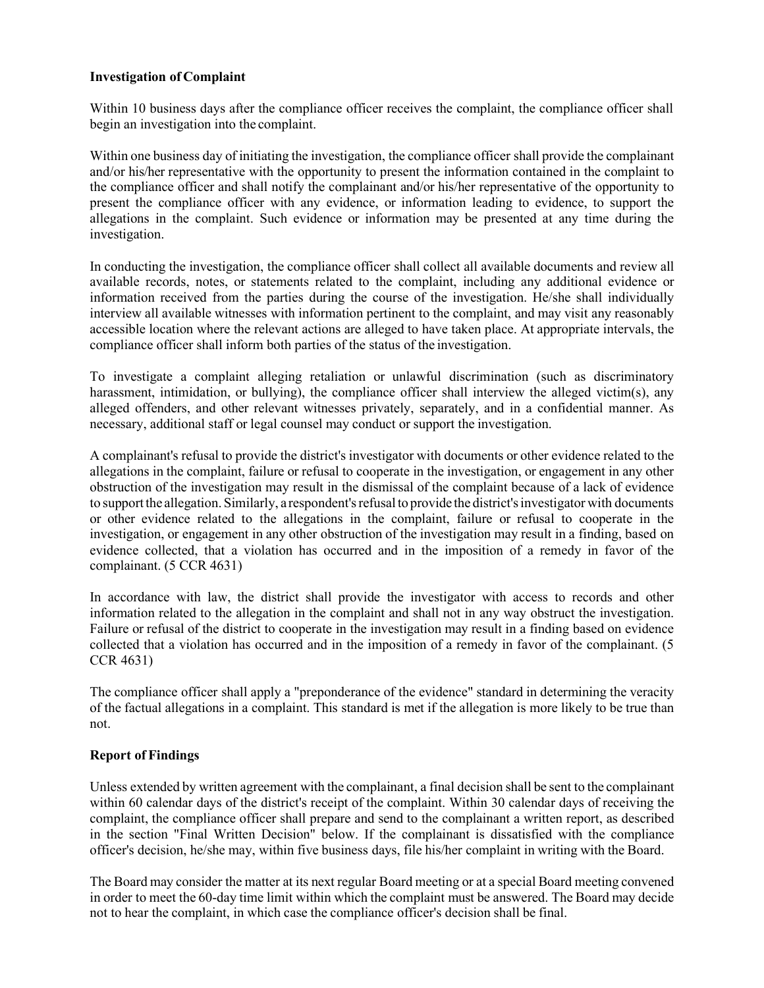### **Investigation of Complaint**

Within 10 business days after the compliance officer receives the complaint, the compliance officer shall begin an investigation into the complaint.

Within one business day of initiating the investigation, the compliance officer shall provide the complainant and/or his/her representative with the opportunity to present the information contained in the complaint to the compliance officer and shall notify the complainant and/or his/her representative of the opportunity to present the compliance officer with any evidence, or information leading to evidence, to support the allegations in the complaint. Such evidence or information may be presented at any time during the investigation.

In conducting the investigation, the compliance officer shall collect all available documents and review all available records, notes, or statements related to the complaint, including any additional evidence or information received from the parties during the course of the investigation. He/she shall individually interview all available witnesses with information pertinent to the complaint, and may visit any reasonably accessible location where the relevant actions are alleged to have taken place. At appropriate intervals, the compliance officer shall inform both parties of the status of the investigation.

To investigate a complaint alleging retaliation or unlawful discrimination (such as discriminatory harassment, intimidation, or bullying), the compliance officer shall interview the alleged victim(s), any alleged offenders, and other relevant witnesses privately, separately, and in a confidential manner. As necessary, additional staff or legal counsel may conduct or support the investigation.

A complainant's refusal to provide the district's investigator with documents or other evidence related to the allegations in the complaint, failure or refusal to cooperate in the investigation, or engagement in any other obstruction of the investigation may result in the dismissal of the complaint because of a lack of evidence to support the allegation. Similarly, a respondent's refusal to provide the district's investigator with documents or other evidence related to the allegations in the complaint, failure or refusal to cooperate in the investigation, or engagement in any other obstruction of the investigation may result in a finding, based on evidence collected, that a violation has occurred and in the imposition of a remedy in favor of the complainant. (5 CCR [4631\)](http://gamutonline.net/displayPolicy/187027/1)

In accordance with law, the district shall provide the investigator with access to records and other information related to the allegation in the complaint and shall not in any way obstruct the investigation. Failure or refusal of the district to cooperate in the investigation may result in a finding based on evidence collected that a violation has occurred and in the imposition of a remedy in favor of the complainant. (5 CCR [4631\)](http://gamutonline.net/displayPolicy/187027/1)

The compliance officer shall apply a "preponderance of the evidence" standard in determining the veracity of the factual allegations in a complaint. This standard is met if the allegation is more likely to be true than not.

## **Report of Findings**

Unless extended by written agreement with the complainant, a final decision shall be sent to the complainant within 60 calendar days of the district's receipt of the complaint. Within 30 calendar days of receiving the complaint, the compliance officer shall prepare and send to the complainant a written report, as described in the section "Final Written Decision" below. If the complainant is dissatisfied with the compliance officer's decision, he/she may, within five business days, file his/her complaint in writing with the Board.

The Board may consider the matter at its next regular Board meeting or at a special Board meeting convened in order to meet the 60-day time limit within which the complaint must be answered. The Board may decide not to hear the complaint, in which case the compliance officer's decision shall be final.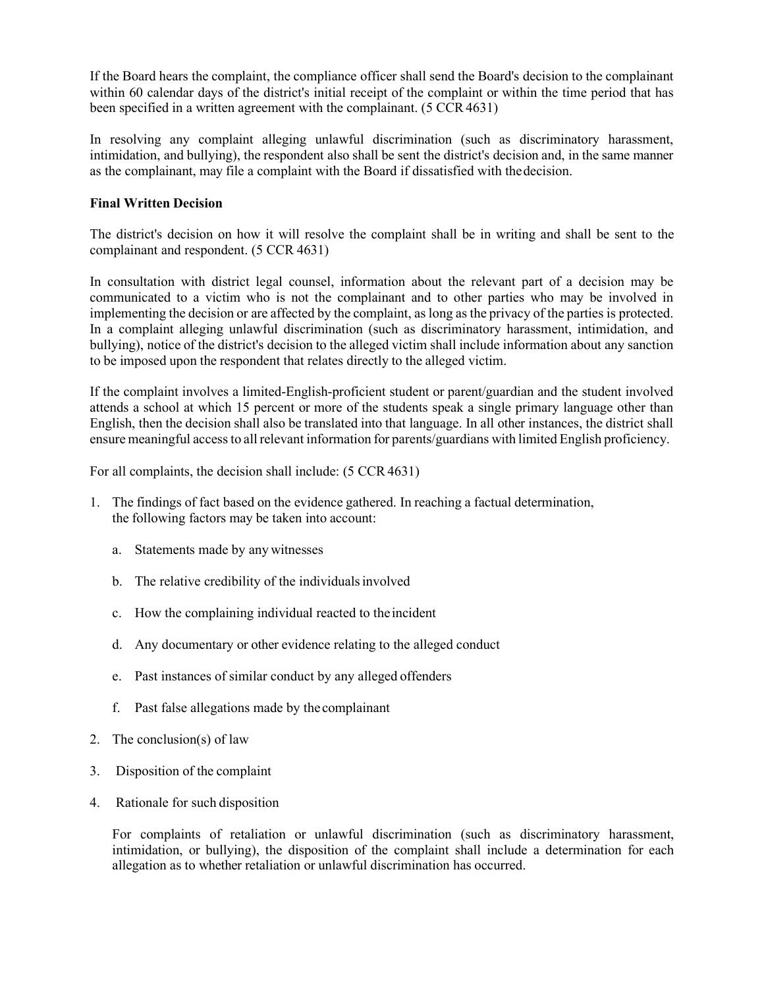If the Board hears the complaint, the compliance officer shall send the Board's decision to the complainant within 60 calendar days of the district's initial receipt of the complaint or within the time period that has been specified in a written agreement with the complainant. (5 CCR 4631)

In resolving any complaint alleging unlawful discrimination (such as discriminatory harassment, intimidation, and bullying), the respondent also shall be sent the district's decision and, in the same manner as the complainant, may file a complaint with the Board if dissatisfied with thedecision.

# **Final Written Decision**

The district's decision on how it will resolve the complaint shall be in writing and shall be sent to the complainant and respondent. (5 CCR [4631\)](http://gamutonline.net/displayPolicy/187027/1)

In consultation with district legal counsel, information about the relevant part of a decision may be communicated to a victim who is not the complainant and to other parties who may be involved in implementing the decision or are affected by the complaint, as long as the privacy of the parties is protected. In a complaint alleging unlawful discrimination (such as discriminatory harassment, intimidation, and bullying), notice of the district's decision to the alleged victim shall include information about any sanction to be imposed upon the respondent that relates directly to the alleged victim.

If the complaint involves a limited-English-proficient student or parent/guardian and the student involved attends a school at which 15 percent or more of the students speak a single primary language other than English, then the decision shall also be translated into that language. In all other instances, the district shall ensure meaningful access to all relevant information for parents/guardians with limited English proficiency.

For all complaints, the decision shall include: (5 CCR 4631)

- 1. The findings of fact based on the evidence gathered. In reaching a factual determination, the following factors may be taken into account:
	- a. Statements made by any witnesses
	- b. The relative credibility of the individualsinvolved
	- c. How the complaining individual reacted to theincident
	- d. Any documentary or other evidence relating to the alleged conduct
	- e. Past instances of similar conduct by any alleged offenders
	- f. Past false allegations made by the complainant
- 2. The conclusion(s) of law
- 3. Disposition of the complaint
- 4. Rationale for such disposition

For complaints of retaliation or unlawful discrimination (such as discriminatory harassment, intimidation, or bullying), the disposition of the complaint shall include a determination for each allegation as to whether retaliation or unlawful discrimination has occurred.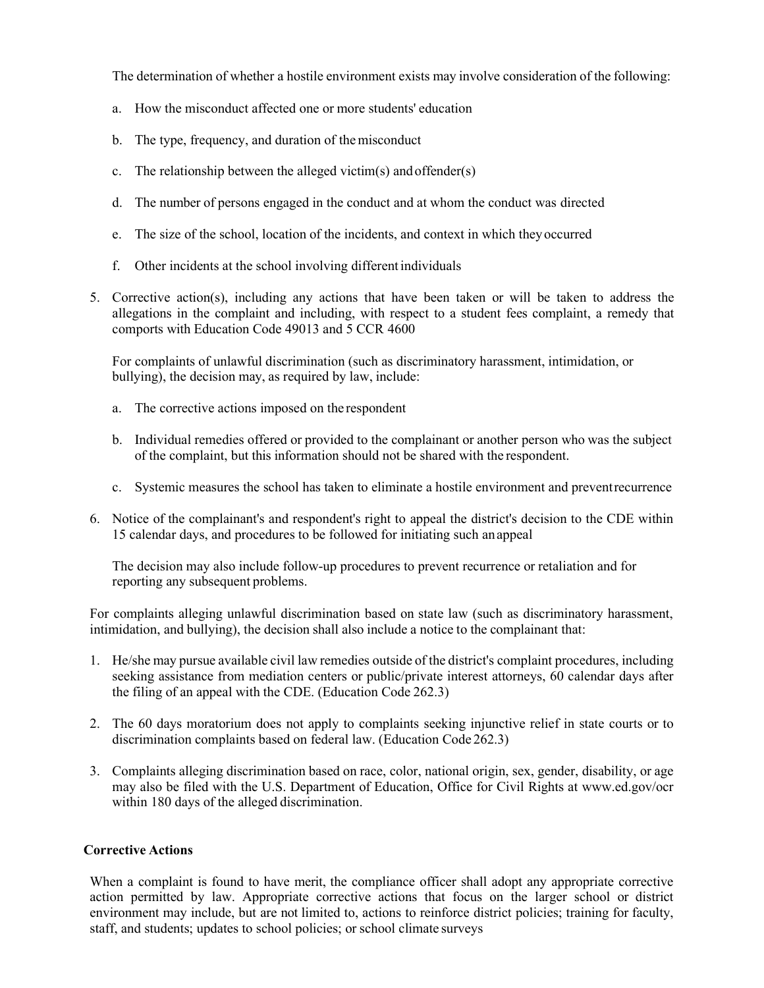The determination of whether a hostile environment exists may involve consideration of the following:

- a. How the misconduct affected one or more students' education
- b. The type, frequency, and duration of themisconduct
- c. The relationship between the alleged victim(s) and offender(s)
- d. The number of persons engaged in the conduct and at whom the conduct was directed
- e. The size of the school, location of the incidents, and context in which theyoccurred
- f. Other incidents at the school involving different individuals
- 5. Corrective action(s), including any actions that have been taken or will be taken to address the allegations in the complaint and including, with respect to a student fees complaint, a remedy that comports with Education Code [49013](http://gamutonline.net/displayPolicy/781186/1) and 5 CCR [4600](http://gamutonline.net/displayPolicy/187020/1)

For complaints of unlawful discrimination (such as discriminatory harassment, intimidation, or bullying), the decision may, as required by law, include:

- a. The corrective actions imposed on the respondent
- b. Individual remedies offered or provided to the complainant or another person who was the subject of the complaint, but this information should not be shared with the respondent.
- c. Systemic measures the school has taken to eliminate a hostile environment and preventrecurrence
- 6. Notice of the complainant's and respondent's right to appeal the district's decision to the CDE within 15 calendar days, and procedures to be followed for initiating such anappeal

The decision may also include follow-up procedures to prevent recurrence or retaliation and for reporting any subsequent problems.

For complaints alleging unlawful discrimination based on state law (such as discriminatory harassment, intimidation, and bullying), the decision shall also include a notice to the complainant that:

- 1. He/she may pursue available civil law remedies outside of the district's complaint procedures, including seeking assistance from mediation centers or public/private interest attorneys, 60 calendar days after the filing of an appeal with the CDE. (Education Code [262.3\)](http://gamutonline.net/displayPolicy/138777/1)
- 2. The 60 days moratorium does not apply to complaints seeking injunctive relief in state courts or to discrimination complaints based on federal law. (Education Code [262.3\)](http://gamutonline.net/displayPolicy/138777/1)
- 3. Complaints alleging discrimination based on race, color, national origin, sex, gender, disability, or age may also be filed with the U.S. Department of Education, Office for Civil Rights at [www.ed.gov/ocr](http://www.ed.gov/ocr) within 180 days of the alleged discrimination.

#### **Corrective Actions**

When a complaint is found to have merit, the compliance officer shall adopt any appropriate corrective action permitted by law. Appropriate corrective actions that focus on the larger school or district environment may include, but are not limited to, actions to reinforce district policies; training for faculty, staff, and students; updates to school policies; or school climate surveys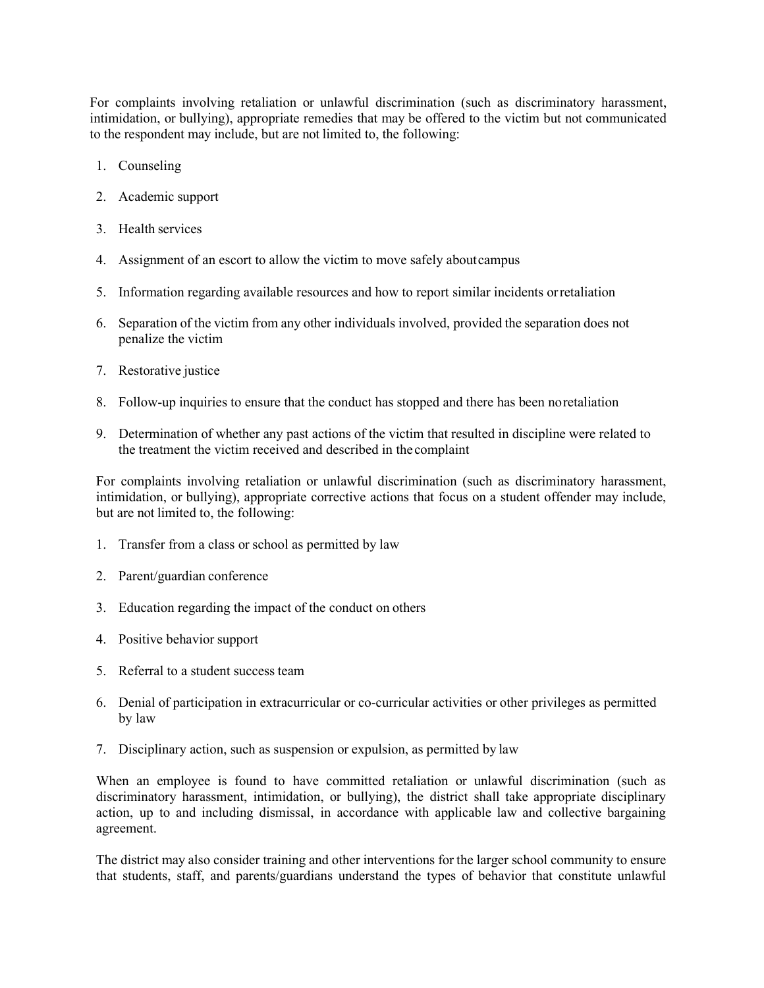For complaints involving retaliation or unlawful discrimination (such as discriminatory harassment, intimidation, or bullying), appropriate remedies that may be offered to the victim but not communicated to the respondent may include, but are not limited to, the following:

- 1. Counseling
- 2. Academic support
- 3. Health services
- 4. Assignment of an escort to allow the victim to move safely aboutcampus
- 5. Information regarding available resources and how to report similar incidents orretaliation
- 6. Separation of the victim from any other individuals involved, provided the separation does not penalize the victim
- 7. Restorative justice
- 8. Follow-up inquiries to ensure that the conduct has stopped and there has been noretaliation
- 9. Determination of whether any past actions of the victim that resulted in discipline were related to the treatment the victim received and described in the complaint

For complaints involving retaliation or unlawful discrimination (such as discriminatory harassment, intimidation, or bullying), appropriate corrective actions that focus on a student offender may include, but are not limited to, the following:

- 1. Transfer from a class or school as permitted by law
- 2. Parent/guardian conference
- 3. Education regarding the impact of the conduct on others
- 4. Positive behavior support
- 5. Referral to a student success team
- 6. Denial of participation in extracurricular or co-curricular activities or other privileges as permitted by law
- 7. Disciplinary action, such as suspension or expulsion, as permitted by law

When an employee is found to have committed retaliation or unlawful discrimination (such as discriminatory harassment, intimidation, or bullying), the district shall take appropriate disciplinary action, up to and including dismissal, in accordance with applicable law and collective bargaining agreement.

The district may also consider training and other interventions for the larger school community to ensure that students, staff, and parents/guardians understand the types of behavior that constitute unlawful